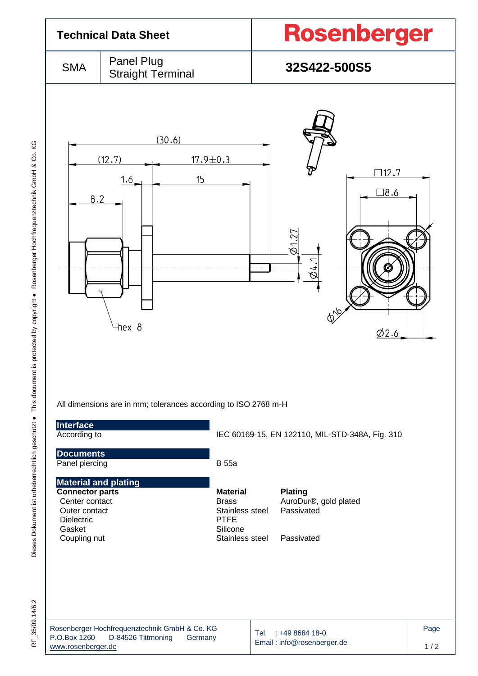

RF 35/09.14/6.2